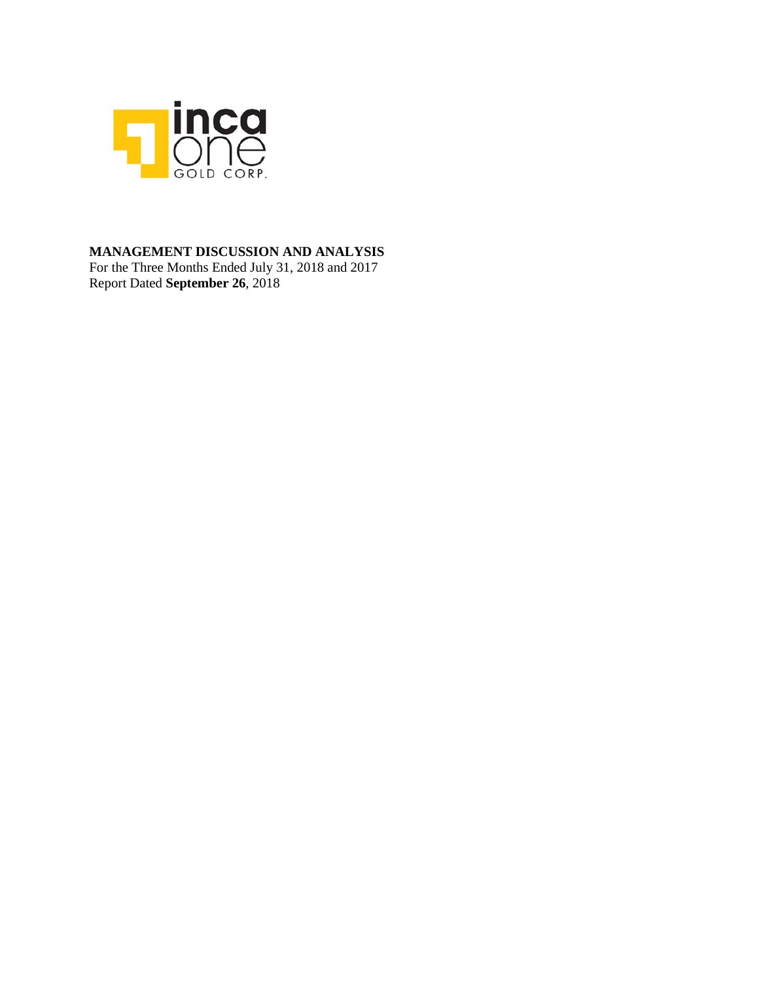

# **MANAGEMENT DISCUSSION AND ANALYSIS**

For the Three Months Ended July 31, 2018 and 2017 Report Dated **September 26**, 2018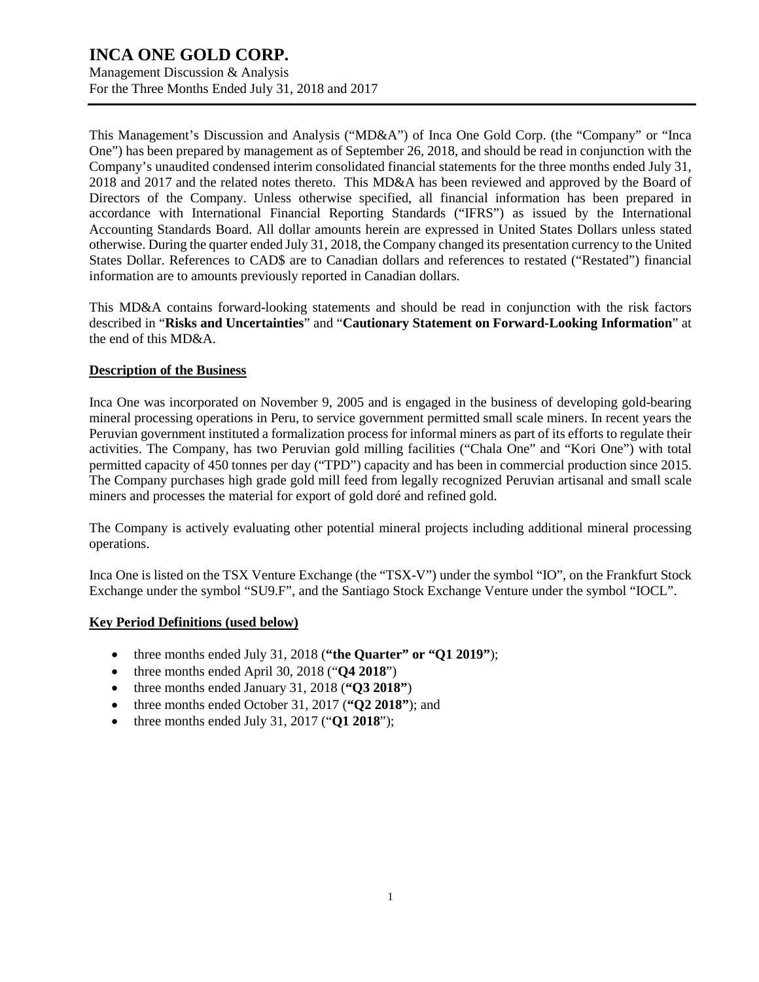Management Discussion & Analysis For the Three Months Ended July 31, 2018 and 2017

This Management's Discussion and Analysis ("MD&A") of Inca One Gold Corp. (the "Company" or "Inca One") has been prepared by management as of September 26, 2018, and should be read in conjunction with the Company's unaudited condensed interim consolidated financial statements for the three months ended July 31, 2018 and 2017 and the related notes thereto. This MD&A has been reviewed and approved by the Board of Directors of the Company. Unless otherwise specified, all financial information has been prepared in accordance with International Financial Reporting Standards ("IFRS") as issued by the International Accounting Standards Board. All dollar amounts herein are expressed in United States Dollars unless stated otherwise. During the quarter ended July 31, 2018, the Company changed its presentation currency to the United States Dollar. References to CAD\$ are to Canadian dollars and references to restated ("Restated") financial information are to amounts previously reported in Canadian dollars.

This MD&A contains forward-looking statements and should be read in conjunction with the risk factors described in "**Risks and Uncertainties**" and "**Cautionary Statement on Forward-Looking Information**" at the end of this MD&A.

## **Description of the Business**

Inca One was incorporated on November 9, 2005 and is engaged in the business of developing gold-bearing mineral processing operations in Peru, to service government permitted small scale miners. In recent years the Peruvian government instituted a formalization process for informal miners as part of its efforts to regulate their activities. The Company, has two Peruvian gold milling facilities ("Chala One" and "Kori One") with total permitted capacity of 450 tonnes per day ("TPD") capacity and has been in commercial production since 2015. The Company purchases high grade gold mill feed from legally recognized Peruvian artisanal and small scale miners and processes the material for export of gold doré and refined gold.

The Company is actively evaluating other potential mineral projects including additional mineral processing operations.

Inca One is listed on the TSX Venture Exchange (the "TSX-V") under the symbol "IO", on the Frankfurt Stock Exchange under the symbol "SU9.F", and the Santiago Stock Exchange Venture under the symbol "IOCL".

# **Key Period Definitions (used below)**

- three months ended July 31, 2018 (**"the Quarter" or "Q1 2019"**);
- three months ended April 30, 2018 ("**Q4 2018**")
- three months ended January 31, 2018 (**"Q3 2018"**)
- three months ended October 31, 2017 (**"Q2 2018"**); and
- three months ended July 31, 2017 ("**Q1 2018**");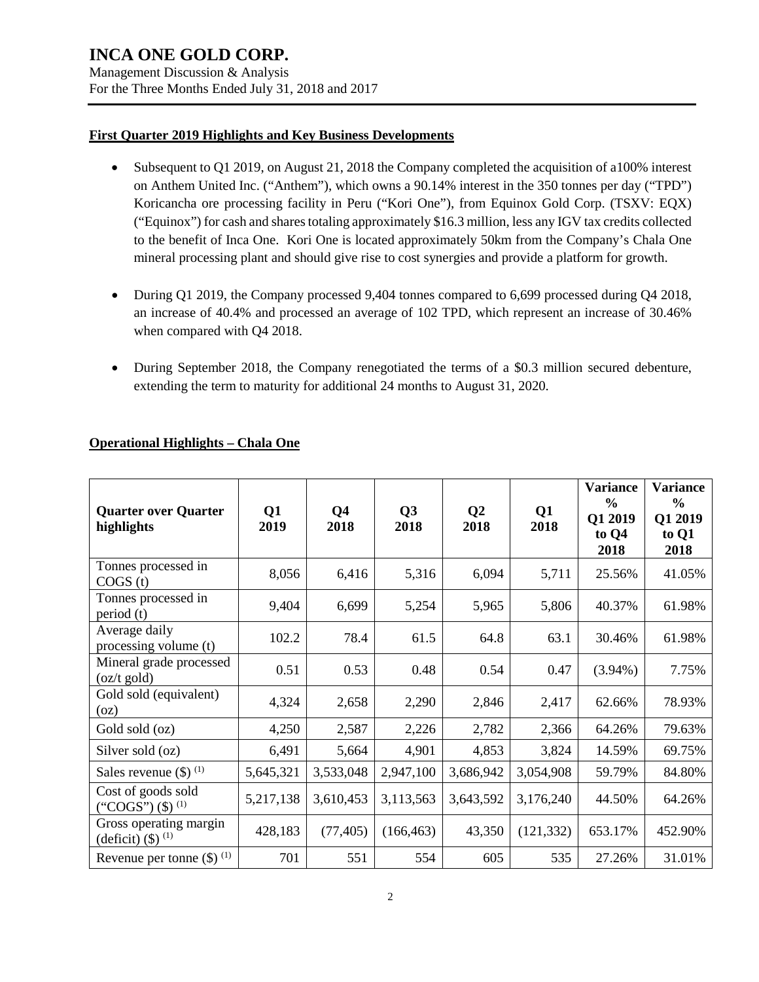Management Discussion & Analysis For the Three Months Ended July 31, 2018 and 2017

# **First Quarter 2019 Highlights and Key Business Developments**

- Subsequent to Q1 2019, on August 21, 2018 the Company completed the acquisition of a100% interest on Anthem United Inc. ("Anthem"), which owns a 90.14% interest in the 350 tonnes per day ("TPD") Koricancha ore processing facility in Peru ("Kori One"), from Equinox Gold Corp. (TSXV: EQX) ("Equinox") for cash and shares totaling approximately \$16.3 million, less any IGV tax credits collected to the benefit of Inca One. Kori One is located approximately 50km from the Company's Chala One mineral processing plant and should give rise to cost synergies and provide a platform for growth.
- During Q1 2019, the Company processed 9,404 tonnes compared to 6,699 processed during Q4 2018, an increase of 40.4% and processed an average of 102 TPD, which represent an increase of 30.46% when compared with Q4 2018.
- During September 2018, the Company renegotiated the terms of a \$0.3 million secured debenture, extending the term to maturity for additional 24 months to August 31, 2020.

| <b>Quarter over Quarter</b><br>highlights            | Q1<br>2019 | Q <sub>4</sub><br>2018 | Q3<br>2018 | Q <sub>2</sub><br>2018 | Q1<br>2018 | <b>Variance</b><br>$\frac{6}{9}$<br>Q1 2019<br>to Q4<br>2018 | <b>Variance</b><br>$\frac{6}{9}$<br>Q1 2019<br>to Q1<br>2018 |
|------------------------------------------------------|------------|------------------------|------------|------------------------|------------|--------------------------------------------------------------|--------------------------------------------------------------|
| Tonnes processed in<br>COGS(t)                       | 8,056      | 6,416                  | 5,316      | 6,094                  | 5,711      | 25.56%                                                       | 41.05%                                                       |
| Tonnes processed in<br>period (t)                    | 9,404      | 6,699                  | 5,254      | 5,965                  | 5,806      | 40.37%                                                       | 61.98%                                                       |
| Average daily<br>processing volume (t)               | 102.2      | 78.4                   | 61.5       | 64.8                   | 63.1       | 30.46%                                                       | 61.98%                                                       |
| Mineral grade processed<br>$(oz/t \text{ gold})$     | 0.51       | 0.53                   | 0.48       | 0.54                   | 0.47       | $(3.94\%)$                                                   | 7.75%                                                        |
| Gold sold (equivalent)<br>(oz)                       | 4,324      | 2,658                  | 2,290      | 2,846                  | 2,417      | 62.66%                                                       | 78.93%                                                       |
| Gold sold (oz)                                       | 4,250      | 2,587                  | 2,226      | 2,782                  | 2,366      | 64.26%                                                       | 79.63%                                                       |
| Silver sold (oz)                                     | 6,491      | 5,664                  | 4,901      | 4,853                  | 3,824      | 14.59%                                                       | 69.75%                                                       |
| Sales revenue $(\$)$ <sup>(1)</sup>                  | 5,645,321  | 3,533,048              | 2,947,100  | 3,686,942              | 3,054,908  | 59.79%                                                       | 84.80%                                                       |
| Cost of goods sold<br>("COGS") $($ \$) $^{(1)}$      | 5,217,138  | 3,610,453              | 3,113,563  | 3,643,592              | 3,176,240  | 44.50%                                                       | 64.26%                                                       |
| Gross operating margin<br>(deficit) $($ \$) $^{(1)}$ | 428,183    | (77, 405)              | (166, 463) | 43,350                 | (121, 332) | 653.17%                                                      | 452.90%                                                      |
| Revenue per tonne $(\$)$ <sup>(1)</sup>              | 701        | 551                    | 554        | 605                    | 535        | 27.26%                                                       | 31.01%                                                       |

# **Operational Highlights – Chala One**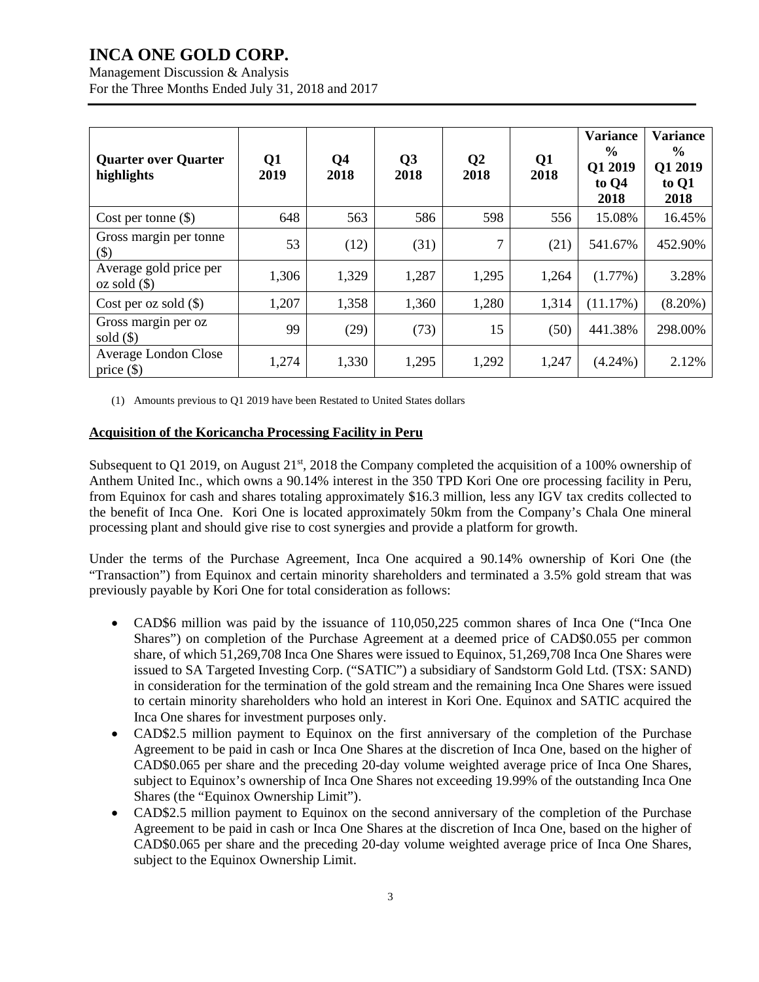Management Discussion & Analysis For the Three Months Ended July 31, 2018 and 2017

| <b>Quarter over Quarter</b><br>highlights | Q <sub>1</sub><br>2019 | Q <sub>4</sub><br>2018 | Q <sub>3</sub><br>2018 | $\mathbf{Q}$<br>2018 | Q <sub>1</sub><br>2018 | <b>Variance</b><br>$\frac{6}{6}$<br>Q1 2019<br>to Q4<br>2018 | <b>Variance</b><br>$\%$<br>Q1 2019<br>to Q1<br>2018 |
|-------------------------------------------|------------------------|------------------------|------------------------|----------------------|------------------------|--------------------------------------------------------------|-----------------------------------------------------|
| Cost per tonne $(\$)$                     | 648                    | 563                    | 586                    | 598                  | 556                    | 15.08%                                                       | 16.45%                                              |
| Gross margin per tonne<br>$($ \$)         | 53                     | (12)                   | (31)                   | 7                    | (21)                   | 541.67%                                                      | 452.90%                                             |
| Average gold price per<br>$oz sold$ (\$)  | 1,306                  | 1,329                  | 1,287                  | 1,295                | 1,264                  | $(1.77\%)$                                                   | 3.28%                                               |
| Cost per oz sold $(\$)$                   | 1,207                  | 1,358                  | 1,360                  | 1,280                | 1,314                  | (11.17%)                                                     | $(8.20\%)$                                          |
| Gross margin per oz<br>sold $(\$)$        | 99                     | (29)                   | (73)                   | 15                   | (50)                   | 441.38%                                                      | 298.00%                                             |
| Average London Close<br>price $(\$)$      | 1,274                  | 1,330                  | 1,295                  | 1,292                | 1,247                  | $(4.24\%)$                                                   | 2.12%                                               |

(1) Amounts previous to Q1 2019 have been Restated to United States dollars

# **Acquisition of the Koricancha Processing Facility in Peru**

Subsequent to Q1 2019, on August 21<sup>st</sup>, 2018 the Company completed the acquisition of a 100% ownership of Anthem United Inc., which owns a 90.14% interest in the 350 TPD Kori One ore processing facility in Peru, from Equinox for cash and shares totaling approximately \$16.3 million, less any IGV tax credits collected to the benefit of Inca One. Kori One is located approximately 50km from the Company's Chala One mineral processing plant and should give rise to cost synergies and provide a platform for growth.

Under the terms of the Purchase Agreement, Inca One acquired a 90.14% ownership of Kori One (the "Transaction") from Equinox and certain minority shareholders and terminated a 3.5% gold stream that was previously payable by Kori One for total consideration as follows:

- CAD\$6 million was paid by the issuance of 110,050,225 common shares of Inca One ("Inca One Shares") on completion of the Purchase Agreement at a deemed price of CAD\$0.055 per common share, of which 51,269,708 Inca One Shares were issued to Equinox, 51,269,708 Inca One Shares were issued to SA Targeted Investing Corp. ("SATIC") a subsidiary of Sandstorm Gold Ltd. (TSX: SAND) in consideration for the termination of the gold stream and the remaining Inca One Shares were issued to certain minority shareholders who hold an interest in Kori One. Equinox and SATIC acquired the Inca One shares for investment purposes only.
- CAD\$2.5 million payment to Equinox on the first anniversary of the completion of the Purchase Agreement to be paid in cash or Inca One Shares at the discretion of Inca One, based on the higher of CAD\$0.065 per share and the preceding 20-day volume weighted average price of Inca One Shares, subject to Equinox's ownership of Inca One Shares not exceeding 19.99% of the outstanding Inca One Shares (the "Equinox Ownership Limit").
- CAD\$2.5 million payment to Equinox on the second anniversary of the completion of the Purchase Agreement to be paid in cash or Inca One Shares at the discretion of Inca One, based on the higher of CAD\$0.065 per share and the preceding 20-day volume weighted average price of Inca One Shares, subject to the Equinox Ownership Limit.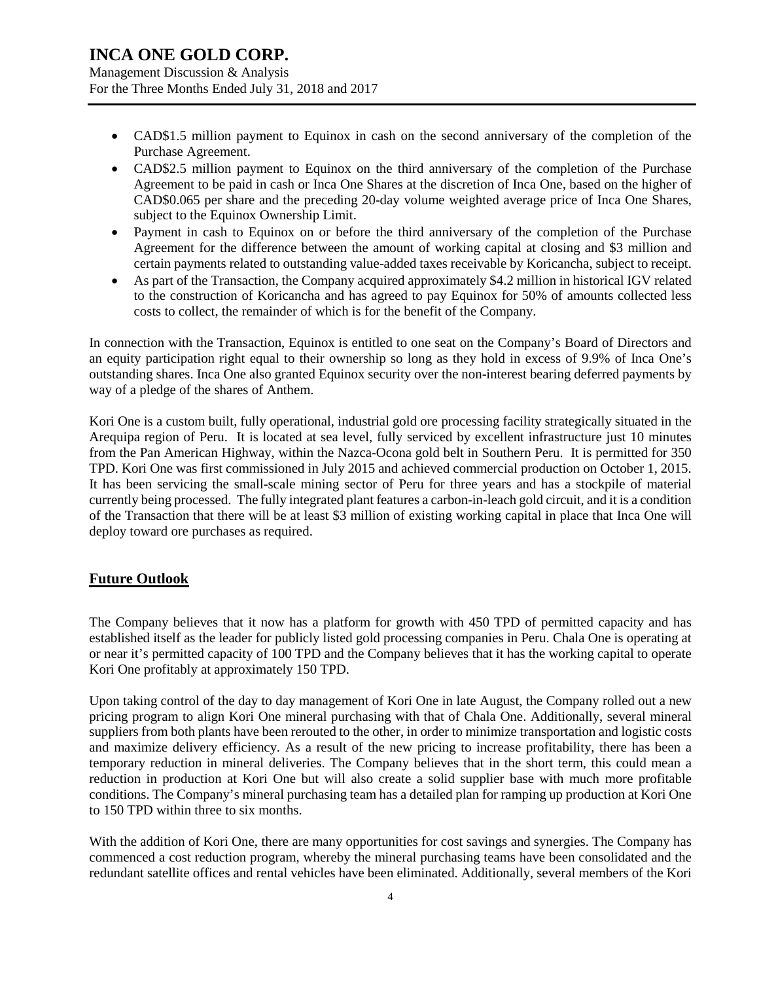Management Discussion & Analysis For the Three Months Ended July 31, 2018 and 2017

- CAD\$1.5 million payment to Equinox in cash on the second anniversary of the completion of the Purchase Agreement.
- CAD\$2.5 million payment to Equinox on the third anniversary of the completion of the Purchase Agreement to be paid in cash or Inca One Shares at the discretion of Inca One, based on the higher of CAD\$0.065 per share and the preceding 20-day volume weighted average price of Inca One Shares, subject to the Equinox Ownership Limit.
- Payment in cash to Equinox on or before the third anniversary of the completion of the Purchase Agreement for the difference between the amount of working capital at closing and \$3 million and certain payments related to outstanding value-added taxes receivable by Koricancha, subject to receipt.
- As part of the Transaction, the Company acquired approximately \$4.2 million in historical IGV related to the construction of Koricancha and has agreed to pay Equinox for 50% of amounts collected less costs to collect, the remainder of which is for the benefit of the Company.

In connection with the Transaction, Equinox is entitled to one seat on the Company's Board of Directors and an equity participation right equal to their ownership so long as they hold in excess of 9.9% of Inca One's outstanding shares. Inca One also granted Equinox security over the non-interest bearing deferred payments by way of a pledge of the shares of Anthem.

Kori One is a custom built, fully operational, industrial gold ore processing facility strategically situated in the Arequipa region of Peru. It is located at sea level, fully serviced by excellent infrastructure just 10 minutes from the Pan American Highway, within the Nazca-Ocona gold belt in Southern Peru. It is permitted for 350 TPD. Kori One was first commissioned in July 2015 and achieved commercial production on October 1, 2015. It has been servicing the small-scale mining sector of Peru for three years and has a stockpile of material currently being processed. The fully integrated plant features a carbon-in-leach gold circuit, and it is a condition of the Transaction that there will be at least \$3 million of existing working capital in place that Inca One will deploy toward ore purchases as required.

# **Future Outlook**

The Company believes that it now has a platform for growth with 450 TPD of permitted capacity and has established itself as the leader for publicly listed gold processing companies in Peru. Chala One is operating at or near it's permitted capacity of 100 TPD and the Company believes that it has the working capital to operate Kori One profitably at approximately 150 TPD.

Upon taking control of the day to day management of Kori One in late August, the Company rolled out a new pricing program to align Kori One mineral purchasing with that of Chala One. Additionally, several mineral suppliers from both plants have been rerouted to the other, in order to minimize transportation and logistic costs and maximize delivery efficiency. As a result of the new pricing to increase profitability, there has been a temporary reduction in mineral deliveries. The Company believes that in the short term, this could mean a reduction in production at Kori One but will also create a solid supplier base with much more profitable conditions. The Company's mineral purchasing team has a detailed plan for ramping up production at Kori One to 150 TPD within three to six months.

With the addition of Kori One, there are many opportunities for cost savings and synergies. The Company has commenced a cost reduction program, whereby the mineral purchasing teams have been consolidated and the redundant satellite offices and rental vehicles have been eliminated. Additionally, several members of the Kori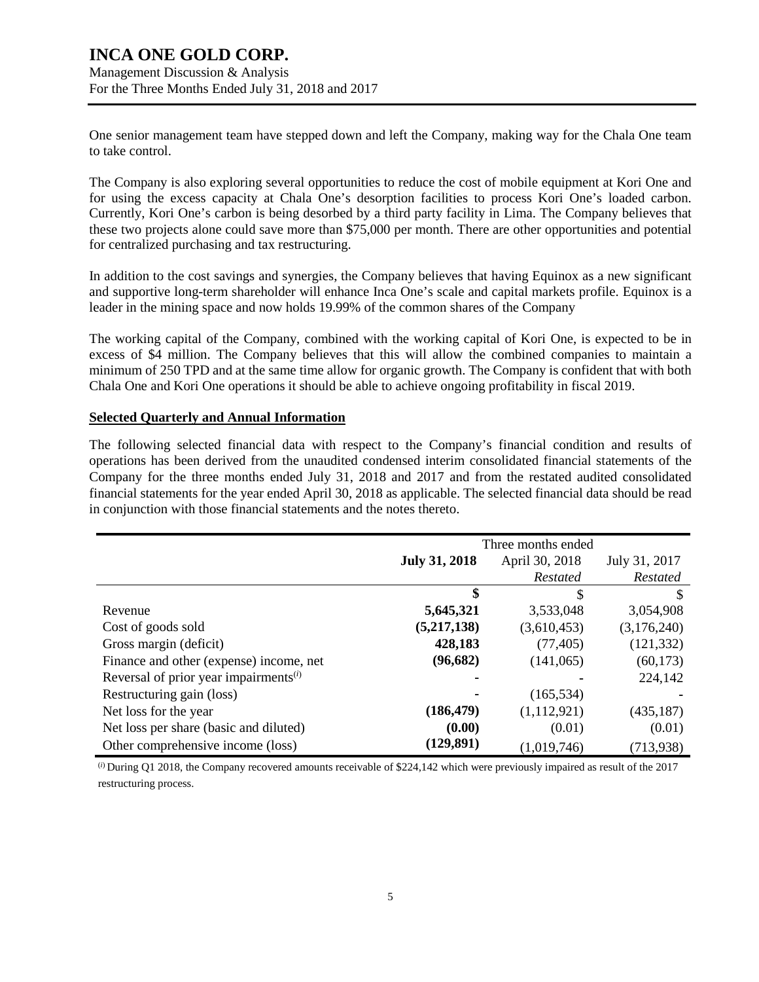Management Discussion & Analysis For the Three Months Ended July 31, 2018 and 2017

One senior management team have stepped down and left the Company, making way for the Chala One team to take control.

The Company is also exploring several opportunities to reduce the cost of mobile equipment at Kori One and for using the excess capacity at Chala One's desorption facilities to process Kori One's loaded carbon. Currently, Kori One's carbon is being desorbed by a third party facility in Lima. The Company believes that these two projects alone could save more than \$75,000 per month. There are other opportunities and potential for centralized purchasing and tax restructuring.

In addition to the cost savings and synergies, the Company believes that having Equinox as a new significant and supportive long-term shareholder will enhance Inca One's scale and capital markets profile. Equinox is a leader in the mining space and now holds 19.99% of the common shares of the Company

The working capital of the Company, combined with the working capital of Kori One, is expected to be in excess of \$4 million. The Company believes that this will allow the combined companies to maintain a minimum of 250 TPD and at the same time allow for organic growth. The Company is confident that with both Chala One and Kori One operations it should be able to achieve ongoing profitability in fiscal 2019.

## **Selected Quarterly and Annual Information**

The following selected financial data with respect to the Company's financial condition and results of operations has been derived from the unaudited condensed interim consolidated financial statements of the Company for the three months ended July 31, 2018 and 2017 and from the restated audited consolidated financial statements for the year ended April 30, 2018 as applicable. The selected financial data should be read in conjunction with those financial statements and the notes thereto.

|                                                   | Three months ended   |                |                 |  |
|---------------------------------------------------|----------------------|----------------|-----------------|--|
|                                                   |                      |                |                 |  |
|                                                   | <b>July 31, 2018</b> | April 30, 2018 | July 31, 2017   |  |
|                                                   |                      | Restated       | <b>Restated</b> |  |
|                                                   | \$                   | S              | S               |  |
| Revenue                                           | 5,645,321            | 3,533,048      | 3,054,908       |  |
| Cost of goods sold                                | (5,217,138)          | (3,610,453)    | (3,176,240)     |  |
| Gross margin (deficit)                            | 428,183              | (77, 405)      | (121, 332)      |  |
| Finance and other (expense) income, net           | (96, 682)            | (141,065)      | (60, 173)       |  |
| Reversal of prior year impairments <sup>(i)</sup> |                      |                | 224,142         |  |
| Restructuring gain (loss)                         |                      | (165, 534)     |                 |  |
| Net loss for the year                             | (186, 479)           | (1,112,921)    | (435, 187)      |  |
| Net loss per share (basic and diluted)            | (0.00)               | (0.01)         | (0.01)          |  |
| Other comprehensive income (loss)                 | (129, 891)           | (1,019,746)    | (713, 938)      |  |

(*i*) During Q1 2018, the Company recovered amounts receivable of \$224,142 which were previously impaired as result of the 2017 restructuring process.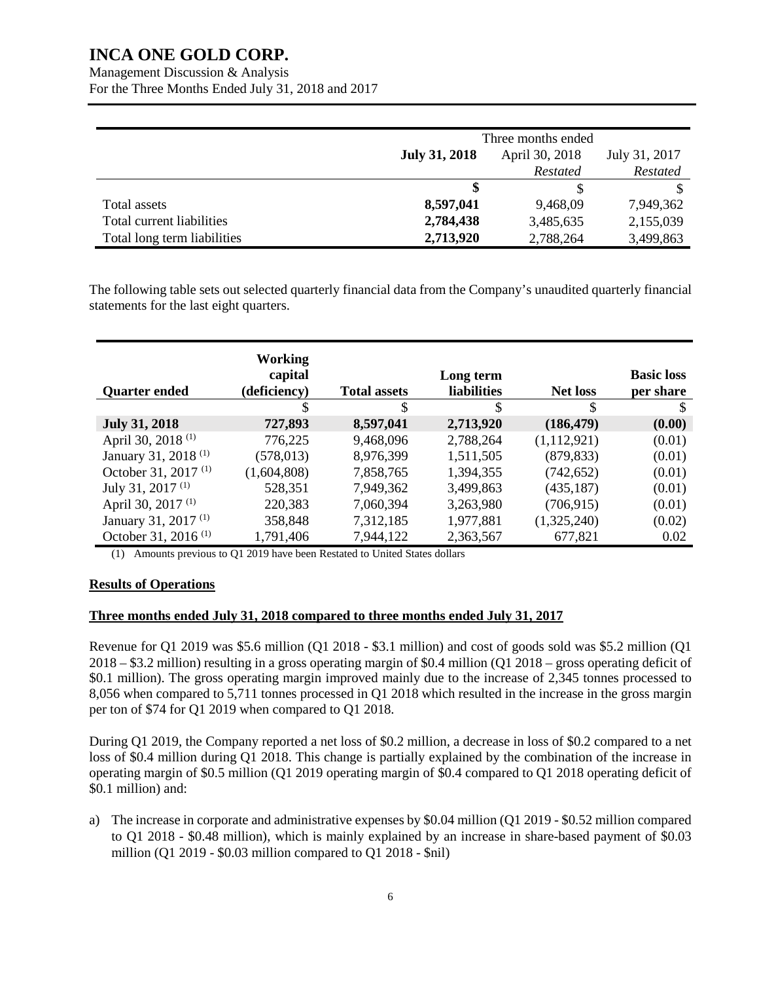Management Discussion & Analysis

For the Three Months Ended July 31, 2018 and 2017

|                             | Three months ended   |                |               |
|-----------------------------|----------------------|----------------|---------------|
|                             | <b>July 31, 2018</b> | April 30, 2018 | July 31, 2017 |
|                             |                      | Restated       | Restated      |
|                             |                      |                |               |
| Total assets                | 8,597,041            | 9,468,09       | 7,949,362     |
| Total current liabilities   | 2,784,438            | 3,485,635      | 2,155,039     |
| Total long term liabilities | 2,713,920            | 2,788,264      | 3,499,863     |

The following table sets out selected quarterly financial data from the Company's unaudited quarterly financial statements for the last eight quarters.

|                                 | Working<br>capital |                     | Long term          |                 | <b>Basic loss</b> |
|---------------------------------|--------------------|---------------------|--------------------|-----------------|-------------------|
| <b>Quarter ended</b>            | (deficiency)       | <b>Total assets</b> | <b>liabilities</b> | <b>Net loss</b> | per share         |
|                                 | S                  | \$                  | \$                 | \$              | S                 |
| <b>July 31, 2018</b>            | 727,893            | 8,597,041           | 2,713,920          | (186, 479)      | (0.00)            |
| April 30, 2018 <sup>(1)</sup>   | 776,225            | 9,468,096           | 2,788,264          | (1,112,921)     | (0.01)            |
| January 31, 2018 <sup>(1)</sup> | (578, 013)         | 8,976,399           | 1,511,505          | (879, 833)      | (0.01)            |
| October 31, 2017 <sup>(1)</sup> | (1,604,808)        | 7,858,765           | 1,394,355          | (742, 652)      | (0.01)            |
| July 31, 2017 <sup>(1)</sup>    | 528,351            | 7,949,362           | 3,499,863          | (435, 187)      | (0.01)            |
| April 30, 2017 <sup>(1)</sup>   | 220,383            | 7,060,394           | 3,263,980          | (706, 915)      | (0.01)            |
| January 31, 2017 <sup>(1)</sup> | 358,848            | 7,312,185           | 1,977,881          | (1,325,240)     | (0.02)            |
| October 31, 2016 <sup>(1)</sup> | 1,791,406          | 7,944,122           | 2,363,567          | 677,821         | 0.02              |

(1) Amounts previous to Q1 2019 have been Restated to United States dollars

## **Results of Operations**

## **Three months ended July 31, 2018 compared to three months ended July 31, 2017**

Revenue for Q1 2019 was \$5.6 million (Q1 2018 - \$3.1 million) and cost of goods sold was \$5.2 million (Q1 2018 – \$3.2 million) resulting in a gross operating margin of \$0.4 million (Q1 2018 – gross operating deficit of \$0.1 million). The gross operating margin improved mainly due to the increase of 2,345 tonnes processed to 8,056 when compared to 5,711 tonnes processed in Q1 2018 which resulted in the increase in the gross margin per ton of \$74 for Q1 2019 when compared to Q1 2018.

During Q1 2019, the Company reported a net loss of \$0.2 million, a decrease in loss of \$0.2 compared to a net loss of \$0.4 million during Q1 2018. This change is partially explained by the combination of the increase in operating margin of \$0.5 million (Q1 2019 operating margin of \$0.4 compared to Q1 2018 operating deficit of \$0.1 million) and:

a) The increase in corporate and administrative expenses by \$0.04 million (Q1 2019 - \$0.52 million compared to Q1 2018 - \$0.48 million), which is mainly explained by an increase in share-based payment of \$0.03 million (Q1 2019 - \$0.03 million compared to Q1 2018 - \$nil)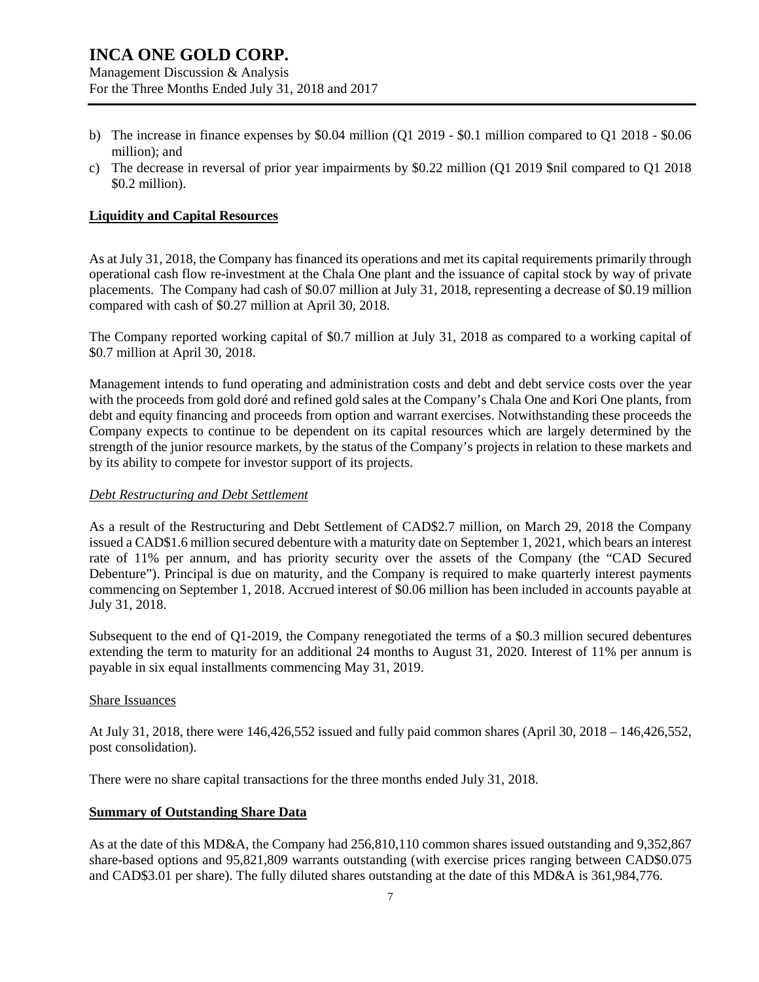Management Discussion & Analysis For the Three Months Ended July 31, 2018 and 2017

- b) The increase in finance expenses by \$0.04 million (Q1 2019 \$0.1 million compared to Q1 2018 \$0.06 million); and
- c) The decrease in reversal of prior year impairments by \$0.22 million (Q1 2019 \$nil compared to Q1 2018 \$0.2 million).

## **Liquidity and Capital Resources**

As at July 31, 2018, the Company has financed its operations and met its capital requirements primarily through operational cash flow re-investment at the Chala One plant and the issuance of capital stock by way of private placements. The Company had cash of \$0.07 million at July 31, 2018, representing a decrease of \$0.19 million compared with cash of \$0.27 million at April 30, 2018.

The Company reported working capital of \$0.7 million at July 31, 2018 as compared to a working capital of \$0.7 million at April 30, 2018.

Management intends to fund operating and administration costs and debt and debt service costs over the year with the proceeds from gold doré and refined gold sales at the Company's Chala One and Kori One plants, from debt and equity financing and proceeds from option and warrant exercises. Notwithstanding these proceeds the Company expects to continue to be dependent on its capital resources which are largely determined by the strength of the junior resource markets, by the status of the Company's projects in relation to these markets and by its ability to compete for investor support of its projects.

#### *Debt Restructuring and Debt Settlement*

As a result of the Restructuring and Debt Settlement of CAD\$2.7 million, on March 29, 2018 the Company issued a CAD\$1.6 million secured debenture with a maturity date on September 1, 2021, which bears an interest rate of 11% per annum, and has priority security over the assets of the Company (the "CAD Secured Debenture"). Principal is due on maturity, and the Company is required to make quarterly interest payments commencing on September 1, 2018. Accrued interest of \$0.06 million has been included in accounts payable at July 31, 2018.

Subsequent to the end of Q1-2019, the Company renegotiated the terms of a \$0.3 million secured debentures extending the term to maturity for an additional 24 months to August 31, 2020. Interest of 11% per annum is payable in six equal installments commencing May 31, 2019.

#### Share Issuances

At July 31, 2018, there were 146,426,552 issued and fully paid common shares (April 30, 2018 – 146,426,552, post consolidation).

There were no share capital transactions for the three months ended July 31, 2018.

## **Summary of Outstanding Share Data**

As at the date of this MD&A, the Company had 256,810,110 common shares issued outstanding and 9,352,867 share-based options and 95,821,809 warrants outstanding (with exercise prices ranging between CAD\$0.075 and CAD\$3.01 per share). The fully diluted shares outstanding at the date of this MD&A is 361,984,776.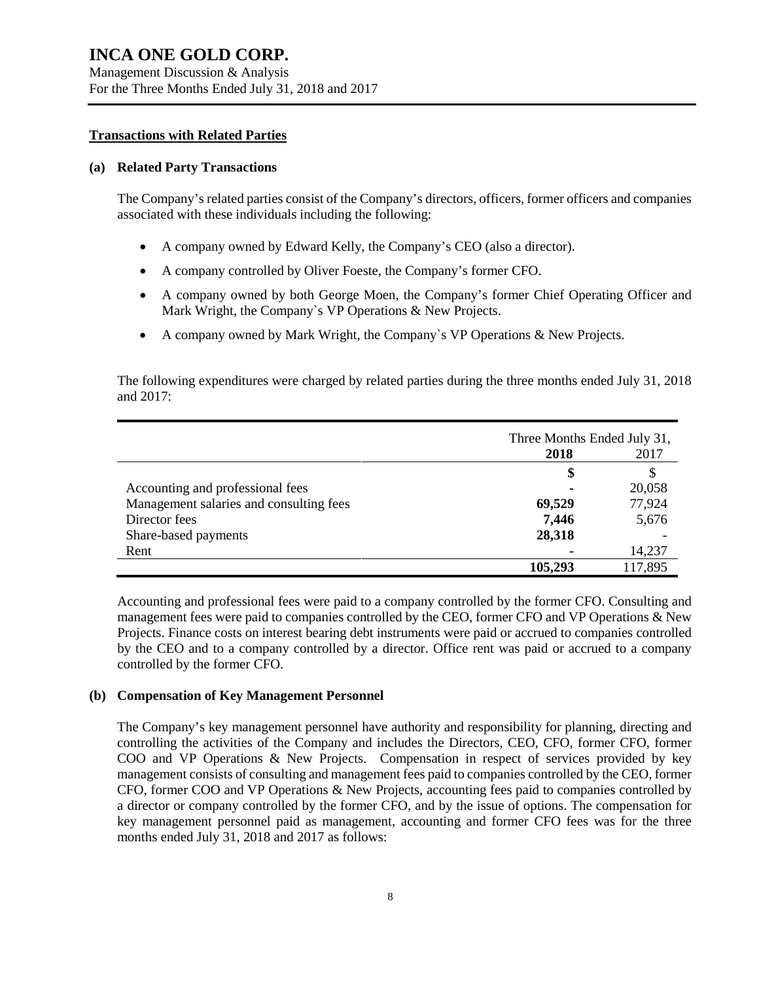Management Discussion & Analysis For the Three Months Ended July 31, 2018 and 2017

#### **Transactions with Related Parties**

#### **(a) Related Party Transactions**

The Company's related parties consist of the Company's directors, officers, former officers and companies associated with these individuals including the following:

- A company owned by Edward Kelly, the Company's CEO (also a director).
- A company controlled by Oliver Foeste, the Company's former CFO.
- A company owned by both George Moen, the Company's former Chief Operating Officer and Mark Wright, the Company`s VP Operations & New Projects.
- A company owned by Mark Wright, the Company`s VP Operations & New Projects.

The following expenditures were charged by related parties during the three months ended July 31, 2018 and 2017:

|                                         | Three Months Ended July 31, |         |
|-----------------------------------------|-----------------------------|---------|
|                                         | 2017<br>2018                |         |
|                                         | \$                          |         |
| Accounting and professional fees        |                             | 20,058  |
| Management salaries and consulting fees | 69,529                      | 77,924  |
| Director fees                           | 7,446                       | 5,676   |
| Share-based payments                    | 28,318                      |         |
| Rent                                    |                             | 14,237  |
|                                         | 105,293                     | 117,895 |

Accounting and professional fees were paid to a company controlled by the former CFO. Consulting and management fees were paid to companies controlled by the CEO, former CFO and VP Operations & New Projects. Finance costs on interest bearing debt instruments were paid or accrued to companies controlled by the CEO and to a company controlled by a director. Office rent was paid or accrued to a company controlled by the former CFO.

## **(b) Compensation of Key Management Personnel**

The Company's key management personnel have authority and responsibility for planning, directing and controlling the activities of the Company and includes the Directors, CEO, CFO, former CFO, former COO and VP Operations & New Projects. Compensation in respect of services provided by key management consists of consulting and management fees paid to companies controlled by the CEO, former CFO, former COO and VP Operations & New Projects, accounting fees paid to companies controlled by a director or company controlled by the former CFO, and by the issue of options. The compensation for key management personnel paid as management, accounting and former CFO fees was for the three months ended July 31, 2018 and 2017 as follows: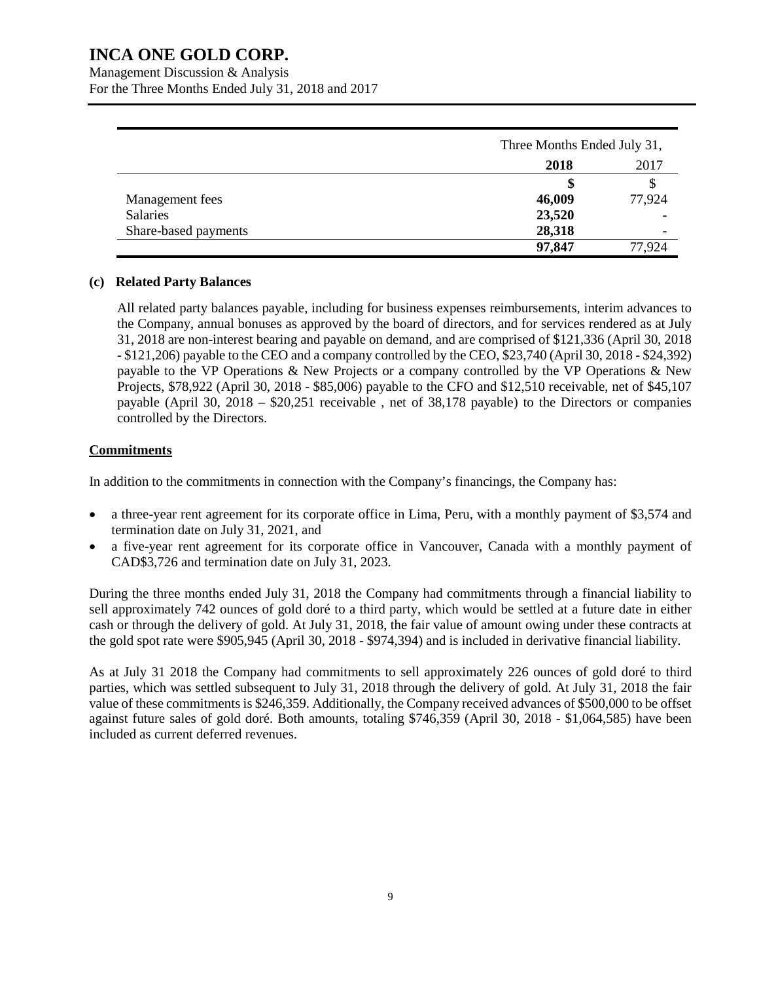Management Discussion & Analysis For the Three Months Ended July 31, 2018 and 2017

|                      | Three Months Ended July 31, |        |  |
|----------------------|-----------------------------|--------|--|
|                      | 2018                        | 2017   |  |
|                      | S                           |        |  |
| Management fees      | 46,009                      | 77,924 |  |
| Salaries             | 23,520                      |        |  |
| Share-based payments | 28,318                      |        |  |
|                      | 97,847                      | 77,924 |  |

## **(c) Related Party Balances**

All related party balances payable, including for business expenses reimbursements, interim advances to the Company, annual bonuses as approved by the board of directors, and for services rendered as at July 31, 2018 are non-interest bearing and payable on demand, and are comprised of \$121,336 (April 30, 2018 - \$121,206) payable to the CEO and a company controlled by the CEO, \$23,740 (April 30, 2018 - \$24,392) payable to the VP Operations & New Projects or a company controlled by the VP Operations & New Projects, \$78,922 (April 30, 2018 - \$85,006) payable to the CFO and \$12,510 receivable, net of \$45,107 payable (April 30, 2018 – \$20,251 receivable , net of 38,178 payable) to the Directors or companies controlled by the Directors.

## **Commitments**

In addition to the commitments in connection with the Company's financings, the Company has:

- a three-year rent agreement for its corporate office in Lima, Peru, with a monthly payment of \$3,574 and termination date on July 31, 2021, and
- a five-year rent agreement for its corporate office in Vancouver, Canada with a monthly payment of CAD\$3,726 and termination date on July 31, 2023.

During the three months ended July 31, 2018 the Company had commitments through a financial liability to sell approximately 742 ounces of gold doré to a third party, which would be settled at a future date in either cash or through the delivery of gold. At July 31, 2018, the fair value of amount owing under these contracts at the gold spot rate were \$905,945 (April 30, 2018 - \$974,394) and is included in derivative financial liability.

As at July 31 2018 the Company had commitments to sell approximately 226 ounces of gold doré to third parties, which was settled subsequent to July 31, 2018 through the delivery of gold. At July 31, 2018 the fair value of these commitments is \$246,359. Additionally, the Company received advances of \$500,000 to be offset against future sales of gold doré. Both amounts, totaling \$746,359 (April 30, 2018 - \$1,064,585) have been included as current deferred revenues.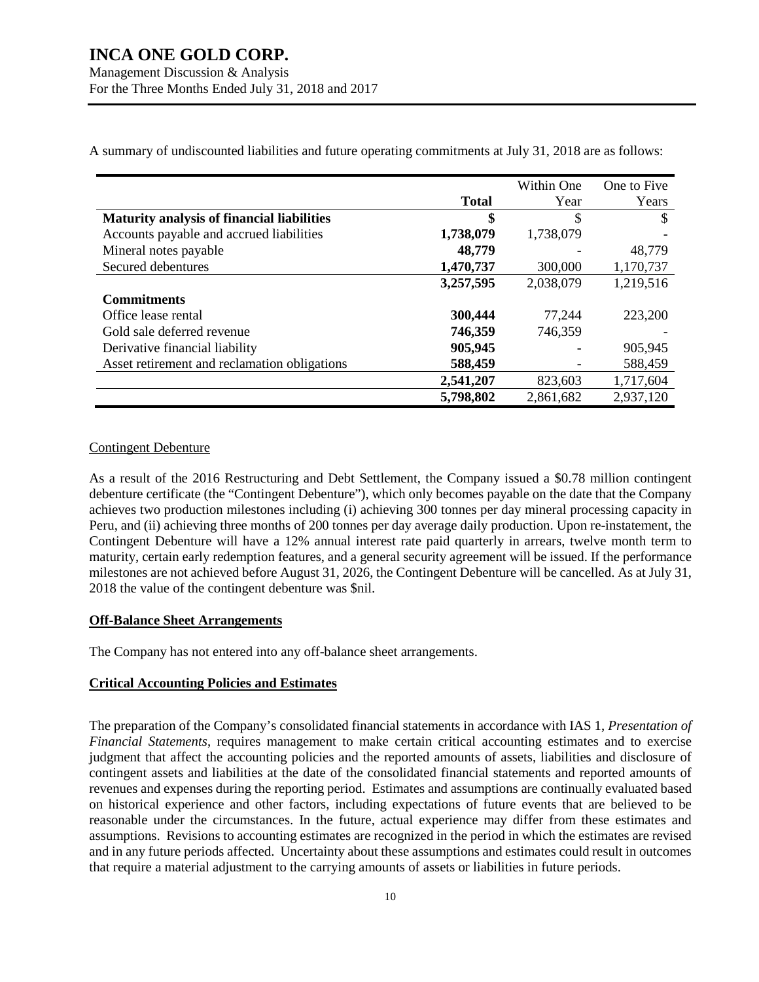#### Management Discussion & Analysis For the Three Months Ended July 31, 2018 and 2017

|                                                   |              | Within One | One to Five |
|---------------------------------------------------|--------------|------------|-------------|
|                                                   | <b>Total</b> | Year       | Years       |
| <b>Maturity analysis of financial liabilities</b> | \$           | \$         | S           |
| Accounts payable and accrued liabilities          | 1,738,079    | 1,738,079  |             |
| Mineral notes payable                             | 48,779       |            | 48,779      |
| Secured debentures                                | 1,470,737    | 300,000    | 1,170,737   |
|                                                   | 3,257,595    | 2,038,079  | 1,219,516   |
| <b>Commitments</b>                                |              |            |             |
| Office lease rental                               | 300,444      | 77,244     | 223,200     |
| Gold sale deferred revenue                        | 746,359      | 746,359    |             |
| Derivative financial liability                    | 905,945      |            | 905,945     |
| Asset retirement and reclamation obligations      | 588,459      |            | 588,459     |
|                                                   | 2,541,207    | 823,603    | 1,717,604   |
|                                                   | 5,798,802    | 2,861,682  | 2,937,120   |

A summary of undiscounted liabilities and future operating commitments at July 31, 2018 are as follows:

# Contingent Debenture

As a result of the 2016 Restructuring and Debt Settlement, the Company issued a \$0.78 million contingent debenture certificate (the "Contingent Debenture"), which only becomes payable on the date that the Company achieves two production milestones including (i) achieving 300 tonnes per day mineral processing capacity in Peru, and (ii) achieving three months of 200 tonnes per day average daily production. Upon re-instatement, the Contingent Debenture will have a 12% annual interest rate paid quarterly in arrears, twelve month term to maturity, certain early redemption features, and a general security agreement will be issued. If the performance milestones are not achieved before August 31, 2026, the Contingent Debenture will be cancelled. As at July 31, 2018 the value of the contingent debenture was \$nil.

# **Off-Balance Sheet Arrangements**

The Company has not entered into any off-balance sheet arrangements.

## **Critical Accounting Policies and Estimates**

The preparation of the Company's consolidated financial statements in accordance with IAS 1, *Presentation of Financial Statements*, requires management to make certain critical accounting estimates and to exercise judgment that affect the accounting policies and the reported amounts of assets, liabilities and disclosure of contingent assets and liabilities at the date of the consolidated financial statements and reported amounts of revenues and expenses during the reporting period. Estimates and assumptions are continually evaluated based on historical experience and other factors, including expectations of future events that are believed to be reasonable under the circumstances. In the future, actual experience may differ from these estimates and assumptions. Revisions to accounting estimates are recognized in the period in which the estimates are revised and in any future periods affected. Uncertainty about these assumptions and estimates could result in outcomes that require a material adjustment to the carrying amounts of assets or liabilities in future periods.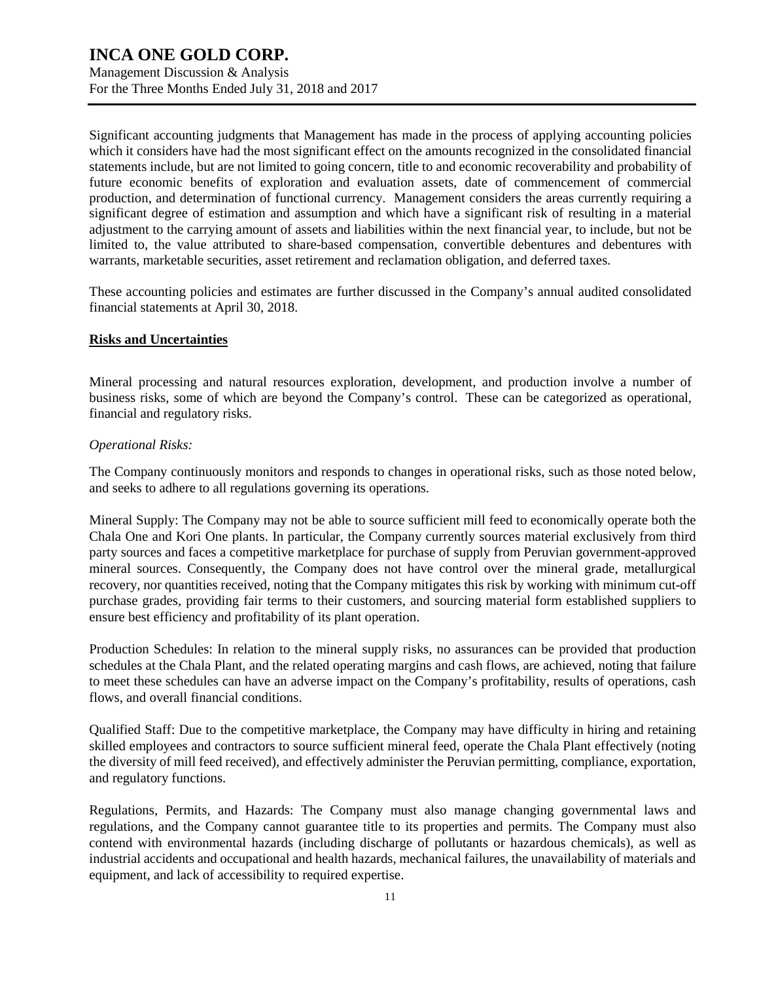Management Discussion & Analysis For the Three Months Ended July 31, 2018 and 2017

Significant accounting judgments that Management has made in the process of applying accounting policies which it considers have had the most significant effect on the amounts recognized in the consolidated financial statements include, but are not limited to going concern, title to and economic recoverability and probability of future economic benefits of exploration and evaluation assets, date of commencement of commercial production, and determination of functional currency. Management considers the areas currently requiring a significant degree of estimation and assumption and which have a significant risk of resulting in a material adjustment to the carrying amount of assets and liabilities within the next financial year, to include, but not be limited to, the value attributed to share-based compensation, convertible debentures and debentures with warrants, marketable securities, asset retirement and reclamation obligation, and deferred taxes.

These accounting policies and estimates are further discussed in the Company's annual audited consolidated financial statements at April 30, 2018.

#### **Risks and Uncertainties**

Mineral processing and natural resources exploration, development, and production involve a number of business risks, some of which are beyond the Company's control. These can be categorized as operational, financial and regulatory risks.

#### *Operational Risks:*

The Company continuously monitors and responds to changes in operational risks, such as those noted below, and seeks to adhere to all regulations governing its operations.

Mineral Supply: The Company may not be able to source sufficient mill feed to economically operate both the Chala One and Kori One plants. In particular, the Company currently sources material exclusively from third party sources and faces a competitive marketplace for purchase of supply from Peruvian government-approved mineral sources. Consequently, the Company does not have control over the mineral grade, metallurgical recovery, nor quantities received, noting that the Company mitigates this risk by working with minimum cut-off purchase grades, providing fair terms to their customers, and sourcing material form established suppliers to ensure best efficiency and profitability of its plant operation.

Production Schedules: In relation to the mineral supply risks, no assurances can be provided that production schedules at the Chala Plant, and the related operating margins and cash flows, are achieved, noting that failure to meet these schedules can have an adverse impact on the Company's profitability, results of operations, cash flows, and overall financial conditions.

Qualified Staff: Due to the competitive marketplace, the Company may have difficulty in hiring and retaining skilled employees and contractors to source sufficient mineral feed, operate the Chala Plant effectively (noting the diversity of mill feed received), and effectively administer the Peruvian permitting, compliance, exportation, and regulatory functions.

Regulations, Permits, and Hazards: The Company must also manage changing governmental laws and regulations, and the Company cannot guarantee title to its properties and permits. The Company must also contend with environmental hazards (including discharge of pollutants or hazardous chemicals), as well as industrial accidents and occupational and health hazards, mechanical failures, the unavailability of materials and equipment, and lack of accessibility to required expertise.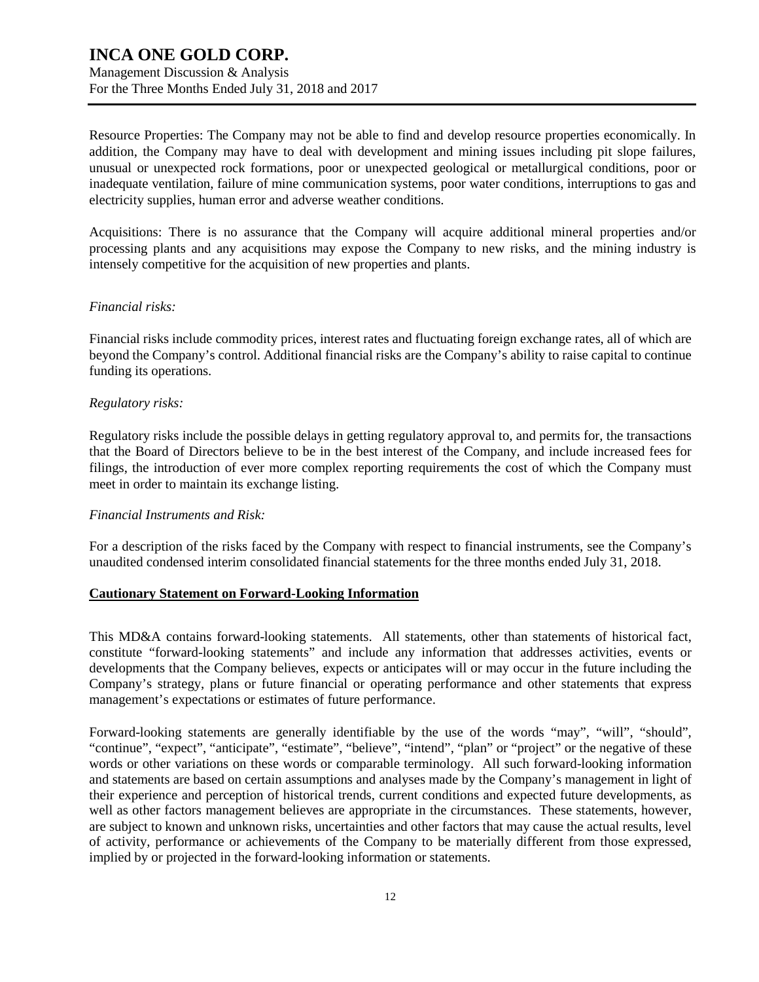Management Discussion & Analysis For the Three Months Ended July 31, 2018 and 2017

Resource Properties: The Company may not be able to find and develop resource properties economically. In addition, the Company may have to deal with development and mining issues including pit slope failures, unusual or unexpected rock formations, poor or unexpected geological or metallurgical conditions, poor or inadequate ventilation, failure of mine communication systems, poor water conditions, interruptions to gas and electricity supplies, human error and adverse weather conditions.

Acquisitions: There is no assurance that the Company will acquire additional mineral properties and/or processing plants and any acquisitions may expose the Company to new risks, and the mining industry is intensely competitive for the acquisition of new properties and plants.

#### *Financial risks:*

Financial risks include commodity prices, interest rates and fluctuating foreign exchange rates, all of which are beyond the Company's control. Additional financial risks are the Company's ability to raise capital to continue funding its operations.

#### *Regulatory risks:*

Regulatory risks include the possible delays in getting regulatory approval to, and permits for, the transactions that the Board of Directors believe to be in the best interest of the Company, and include increased fees for filings, the introduction of ever more complex reporting requirements the cost of which the Company must meet in order to maintain its exchange listing.

## *Financial Instruments and Risk:*

For a description of the risks faced by the Company with respect to financial instruments, see the Company's unaudited condensed interim consolidated financial statements for the three months ended July 31, 2018.

## **Cautionary Statement on Forward-Looking Information**

This MD&A contains forward-looking statements. All statements, other than statements of historical fact, constitute "forward-looking statements" and include any information that addresses activities, events or developments that the Company believes, expects or anticipates will or may occur in the future including the Company's strategy, plans or future financial or operating performance and other statements that express management's expectations or estimates of future performance.

Forward-looking statements are generally identifiable by the use of the words "may", "will", "should", "continue", "expect", "anticipate", "estimate", "believe", "intend", "plan" or "project" or the negative of these words or other variations on these words or comparable terminology. All such forward-looking information and statements are based on certain assumptions and analyses made by the Company's management in light of their experience and perception of historical trends, current conditions and expected future developments, as well as other factors management believes are appropriate in the circumstances. These statements, however, are subject to known and unknown risks, uncertainties and other factors that may cause the actual results, level of activity, performance or achievements of the Company to be materially different from those expressed, implied by or projected in the forward-looking information or statements.